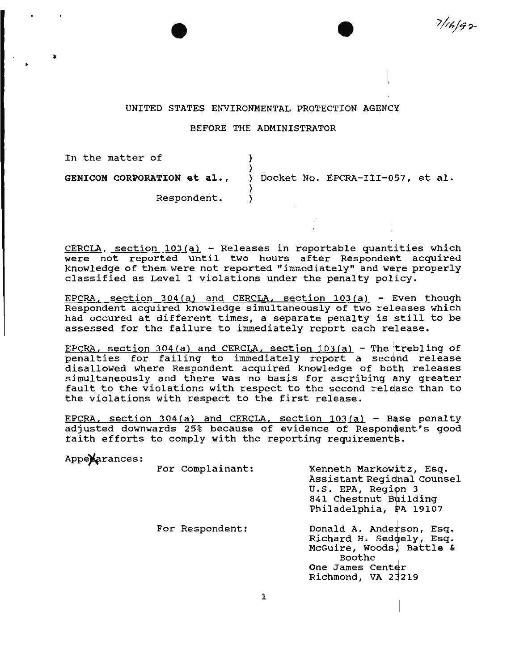## UNITED STATES ENVIRONMENTAL PROTECTION AGENCY

 $7/16/92$ 

#### BEFORE THE ADMINISTRATOR

In the matter of GENICOM CORPORATION et al., Respondent. ) ) ) Docket No. EPCRA-III-057, et al. ) )

CERCLA, section  $103(a)$  - Releases in reportable quantities which were not reported until two hours after Respondent acquired knowledge of them were not reported "immediately" and were properly classified as Level 1 violations under the penalty policy.

EPCRA, section 304(a) and CERCLA. section 103(a) - Even though Respondent acquired knowledge simultaneously of two releases which had occured at different times, a separate penalty is still to be assessed for the failure to immediately report each release.

EPCRA, section 304(a) and CERCLA, section  $103(a)$  - The trebling of penalties for failing to immediately report a second release disallowed where Respondent acquired knowledge of both releases simultaneously and there was no basis for ascribing any greater fault to the violations with respect to the second release than to the violations with respect to the first release.

EPCRA, section  $304(a)$  and CERCLA, section  $103(a)$  - Base penalty adjusted downwards 25% because of evidence of Respondent's good faith efforts to comply with the reporting requirements

|               | ratth efforce to comply with the reporting requirements. |                                                                                                                                      |
|---------------|----------------------------------------------------------|--------------------------------------------------------------------------------------------------------------------------------------|
| Appexarances: |                                                          |                                                                                                                                      |
|               | For Complainant:                                         | Kenneth Markowitz, Esq.<br>Assistant Regional Counsel<br>U.S. EPA, Region 3<br>841 Chestnut Building<br>Philadelphia, PA 19107       |
|               | For Respondent:                                          | Donald A. Anderson, Esq.<br>Richard H. Sedgely, Esq.<br>McGuire, Woods, Battle &<br>Boothe<br>One James Center<br>Richmond, VA 23219 |
|               |                                                          |                                                                                                                                      |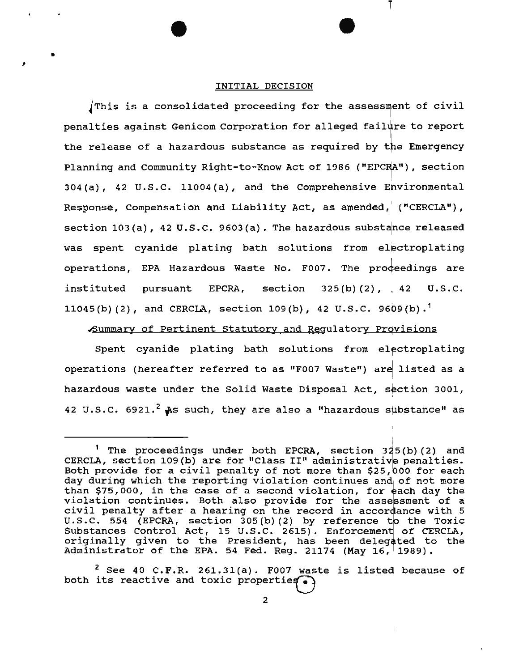#### INITIAL DECISION

•

J

This is a consolidated proceeding for the assessment of civil penalties against Genicom Corporation for alleged failure to report the release of a hazardous substance as required by the Emergency Planning and Community Right-to-Know Act of 1986 ("EPCRA"), section I 304(a), 42 u.s.c. 11004(a), and the Comprehensive Ehvironmental Response, Compensation and Liability Act, as amended,  $($  "CERCLA" $)$ , section  $103(a)$ , 42 U.S.C. 9603(a). The hazardous substance released was spent cyanide plating bath solutions from electroplating operations, EPA Hazardous Waste No. F007. The proceedings are instituted pursuant EPCRA, section 325(b)(2), 42 U.S.C. 11045(b) (2), and CERCLA, section 109(b), 42 U.S.C. 9609(b).<sup>1</sup>

## ~ummary of Pertinent Statutory and Regulatory Provisions <sup>I</sup>

Spent cyanide plating bath solutions from electroplating operations (hereafter referred to as "F007 Waste") are listed as a hazardous waste under the Solid Waste Disposal Act, section 3001, 42 U.S.C. 6921.<sup>2</sup> As such, they are also a "hazardous substance" as

!

<sup>&</sup>lt;sup>1</sup> The proceedings under both EPCRA, section  $325(b)(2)$  and CERCLA, section 109 (b) are for "Class II" administrative penalties.<br>Both provide for a civil penalty of not more than \$25,000 for each day during which the reporting violation continues and of not more than \$75,000, in the case of a second violation, for each day the violation continues. Both also provide for the assessment of a violation continues. Both also provide for the assessment of a<br>civil penalty after a hearing on the record in accordance with 5 U.S.C. 554 (EPCRA, section 305(b)(2) by reference to the Toxic Substances Control Act, 15 U.S.C. 2615). Enforcement of CERCLA, originally given to the President, has been delegated to the Administrator of the EPA. 54 Fed. Reg. 21174 (May 16, 1989).

 $2$  See 40 C.F.R. 261.31(a). F007 waste is listed because of both its reactive and toxic properties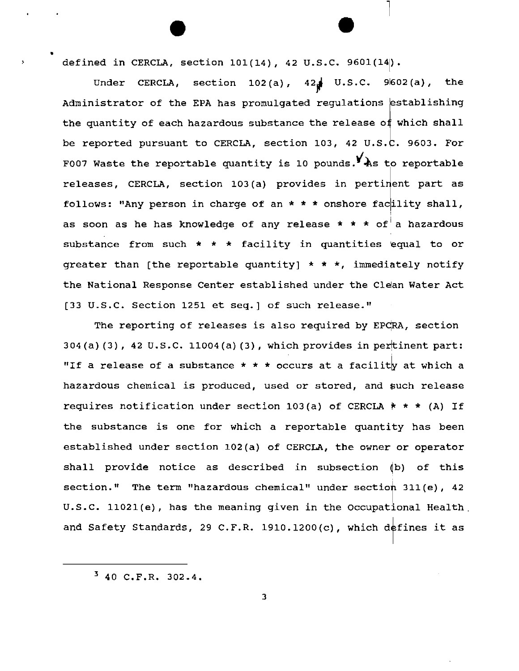defined in CERCLA, section 101(14), 42 u.s.c. 9601(14).

•

Under CERCLA, section  $102(a)$ ,  $42\frac{1}{a}$  U.S.C. 9602(a), the Administrator of the EPA has promulgated regulations establishing the quantity of each hazardous substance the release of which shall be reported pursuant to CERCLA, section 103, 42 U.S.C. 9603. For F007 Waste the reportable quantity is 10 pounds.  $\mathbf{Y}_{\text{As}}$  to reportable releases, CERCLA, section 103(a) provides in pertinent part as follows: "Any person in charge of an  $*$  \* \* onshore facility shall, as soon as he has knowledge of any release \* \* \* of $^\dagger$  a hazardous substance from such  $*$   $*$  facility in quantities equal to or greater than [the reportable quantity]  $* * *$ , immediately notify the National Response Center established under the Clean Water Act [33 U.S.C. Section 1251 et seq.] of such release."

The reporting of releases is also required by EPCRA, section 304(a)(3), 42 U.S.C. 11004(a)(3), which provides in pertinent part: "If a release of a substance  $* * *$  occurs at a facility at which a hazardous chemical is produced, used or stored, and such release requires notification under section 103(a) of CERCLA  $* * * (A)$  If the substance is one for which a reportable quantity has been established under section l02(a) of CERCLA, the owner or operator shall provide notice as described in subsection  $(b)$  of this section." The term "hazardous chemical" under section 311(e), 42 u.s.c. 11021(e), has the meaning given in the Occupational Health\_ and Safety Standards, 29 C.F.R. 1910.1200(c), which defines it as

 $3, 40, C.F.R. 302.4.$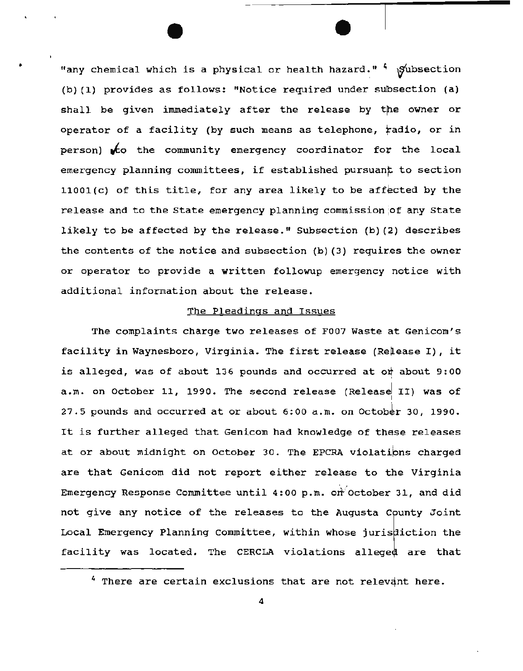"any chemical which is a physical or health hazard."  $\frac{4}{3}$  gubsection > (b) (1) provides as follows: "Notice required under subsection (a) shall be given immediately after the release by the owner or operator of a facility (by such means as telephone, radio, or in person)  $\mathcal{K}$ o the community emergency coordinator for the local emergency planning committees, if established pursuant to section  $11001(c)$  of this title, for any area likely to be affected by the release and to the State emergency planning commission ;of any state likely to be affected by the release." Subsection (b) (2) describes the contents of the notice and subsection (b) (3) requires the owner or operator to provide a written followup emergency notice with additional information about the release.

## The Pleadings and Issues

The complaints charge two releases of F007 Waste at Genicom's facility in Waynesboro, Virginia. The first release (Release I), it is alleged, was of about 136 pounds and occurred at o $\frac{1}{2}$  about 9:00 a.m. on October 11, 1990. The second release (Release $\begin{vmatrix} 1 & 1 & 1 \end{vmatrix}$  was of 27.5 pounds and occurred at or about  $6:00$  a.m. on October 30, 1990. It is further alleged that Genicom had knowledge of these releases at or about midnight on October 30. The EPCRA violations charged are that Genicom did not report either release to the Virginia Emergency Response Committee until 4:00 p.m. on October 31, and did not give any notice of the releases to the Augusta County Joint Local Emergency Planning Committee, within whose jurisdiction the facility was located. The CERCLA violations alleged are that I<br>I

 $4$  There are certain exclusions that are not relevant here.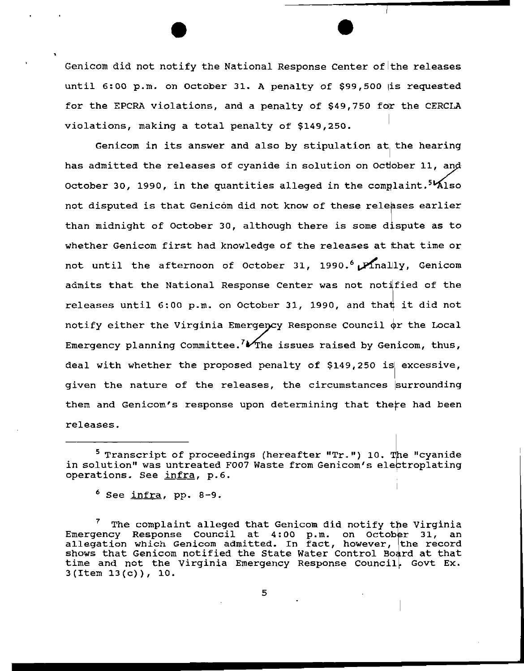Genicom did not notify the National Response Center of the releases until 6:00 p.m. on october 31. A penalty of \$99,500 is requested for the EPCRA violations, and a penalty of \$49,750 for the CERCLA violations, making a total penalty of \$149,250.

Genicom in its answer and also by stipulation at the hearing has admitted the releases of cyanide in solution on October 11, and October 30, 1990, in the quantities alleged in the complaint.<sup>51</sup>Also not disputed is that Genicom did not know of these releases earlier than midnight of October 30, although there is some dispute as to whether Genicom first had knowledge of the releases at that time or not until the afternoon of October 31, 1990.<sup>6</sup> Pinally, Genicom admits that the National Response Center was not notified of the releases until 6:00 p.m. on October 31, 1990, and that it did not notify either the Virginia Emergency Response Council  $\phi$ r the Local Emergency planning Committee.  $W$ The issues raised by Genicom, thus, I<br>I deal with whether the proposed penalty of \$149,250 is excessive, given the nature of the releases, the circumstances surrounding them and Genicom's response upon determining that there had been releases.

<sup>&</sup>lt;sup>5</sup> Transcript of proceedings (hereafter "Tr.") 10. The "cyanide in solution" was untreated F007 Waste from Genicom's electroplating operations. See infra, p.6.

<sup>&</sup>lt;sup>6</sup> See <u>infra</u>, pp. 8-9*.* 

The complaint alleged that Genicom did notify the Virginia Inc complaint direged that centeem aid notify the virginia<br>Emergency Response Council at 4:00 p.m. on October 31, an allegation which Genicom admitted. In fact, however, the record shows that Genicom notified the State Water Control Board at that time and not the Virginia Emergency Response Council, Govt Ex.  $3(Item 13(c))$ , 10.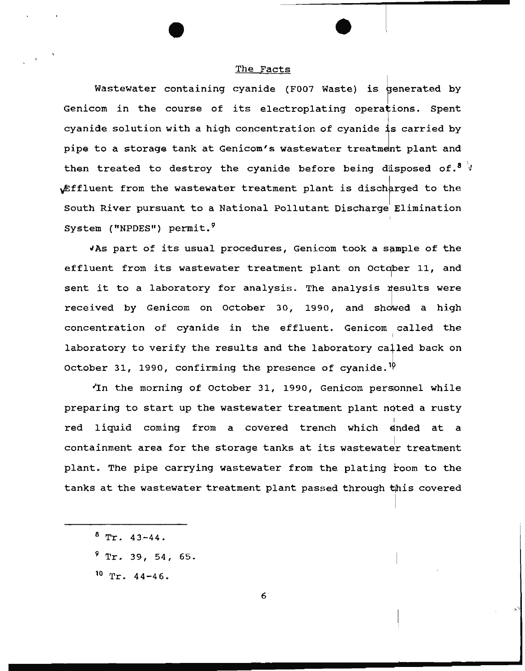## The Facts

Wastewater containing cyanide (F007 Waste) is generated by Genicom in the course of its electroplating operations. Spent cyanide solution with a high concentration of cyanide is carried by pipe to a storage tank at Genicom's wastewater treatment plant and then treated to destroy the cyanide before being disposed of.<sup>8</sup>  $\sqrt{3}$ Effluent from the wastewater treatment plant is discharged to the South River pursuant to a National Pollutant Discharge Elimination System ("NPDES") permit.<sup>9</sup>

Whs part of its usual procedures, Genicom took a sample of the effluent from its wastewater treatment plant on October 11, and sent it to a laboratory for analysis. The analysis results were received by Genicom on October 30, 1990, and showed a high concentration of cyanide in the effluent. Genicom called the laboratory to verify the results and the laboratory called back on October 31, 1990, confirming the presence of cyanide.<sup>10</sup>

In the morning of October 31, 1990, Genicom personnel while preparing to start up the wastewater treatment plant noted a rusty red liquid coming from a covered trench which ended at a containment area for the storage tanks at its wastewater treatment plant. The pipe carrying wastewater from the plating room to the tanks at the wastewater treatment plant passed through *is* covered

- $8$  Tr. 43-44.
- $9$  Tr. 39, 54, 65.
- 10 Tr. 44-46.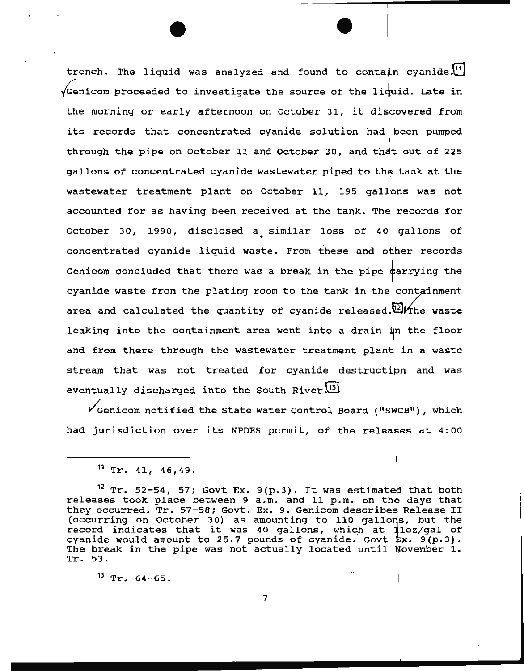trench. The liquid was analyzed and found to contain cyanide. $[1]$  $\sqrt{2}$  Genicom proceeded to investigate the source of the li $\frac{1}{2}$ uid. Late in the morning or early afternoon on October 31, it discovered from its records that concentrated cyanide solution had been pumped through the pipe on October 11 and October 30, and that out of 225 gallons of concentrated cyanide wastewater piped to the tank at the wastewater treatment plant on October 11, 195 gallpns was not accounted for as having been received at the tank. The records for October 30, 1990, disclosed a similar loss of 40 gallons of concentrated cyanide liquid waste. From these and other records Genicom concluded that there was a break in the pipe carrying the cyanide waste from the plating room to the tank in the containment area and calculated the quantity of cyanide released.<sup>[12]</sup> The waste leaking into the containment area went into a drain in the floor and from there through the wastewater treatment plant in a waste stream that was not treated for cyanide destructipn and w<mark>a</mark>s eventually discharged into the South River $\frac{13}{3}$ 

 $\checkmark$  Genicom notified the State Water Control Board ("SWCB"), which had jurisdiction over its NPDES permit, of the releases at 4:00

 $13$  Tr.  $64-65$ .

 $11$  Tr. 41, 46.49.

<sup>&</sup>lt;sup>12</sup> Tr. 52-54, 57; Govt Ex. 9(p.3). It was estimated that both releases took place between 9 a.m. and 11 p.m. on the days that they occurred. Tr. 57-58; Govt. Ex. 9. Genicom describes Release II occurring on October 30) as amounting to 110 gallons, but the record indicates that it was 40 gallons, which at 110z/gal of cyanide would amount to 25.7 pounds of cyanide. Govt  $kx.$  9(p.3). The break in the pipe was not actually located until November 1. Tr. 53.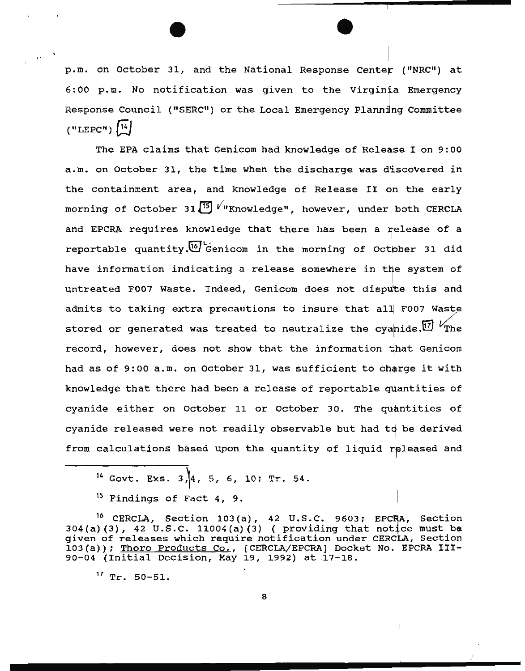p.m. on October 31, and the National Response Center ("NRC") at 6:00 p.m. No notification was given to the Virginia Emergency Response Council ("SERC") or the Local Emergency Planning Committee  $("LEPC")$   $[14]$ 

The EPA claims that Genicom had knowledge of Release I on 9:00 a.m. on October 31, the time when the discharge was discovered in the containment area, and knowledge of Release II on the early morning of October 31<sup>[5]</sup> V<sup>n</sup>Knowledge", however, under both CERCLA and EPCRA requires knowledge that there has been a release of a reportable quantity.<sup>[6]</sup> Genicom in the morning of October 31 did have information indicating a release somewhere in the system of untreated F007 Waste. Indeed, Genicom does not dispute this and admits to taking extra precautions to insure that all F007 Waste stored or generated was treated to neutralize the cyanide.<sup>17</sup>  $V_{\text{The}}$ record, however, does not show that the information that Genicom had as of 9:00 a.m. on October 31, was sufficient to charge it with knowledge that there had been a release of reportable quantities of cyanide either on October 11 or October 30. The quantities of cyanide released were not readily observable but had to be derived from calculations based upon the quantity of liquid released and

<sup>14</sup> Govt. Exs.  $3/[4, 5, 6, 10; Tr. 54.$ 

16 CERCLA, Section 103(a), 42 u.s.c. *9603:* Section  $304(a)(3)$ ,  $42 \text{ U.S.C. } 11004(a)(3)$  (providing that notice must be given of releases which require notification under CERCLA, Section 103(a)); Thoro Products Co., (CERCLA/EPCRA] Docket No. EPCRA III-90-04 (Initial Decision, May 19, 1992) at 17-18.

 $17$  Tr. 50-51.

 $15$  Findings of Fact 4, 9.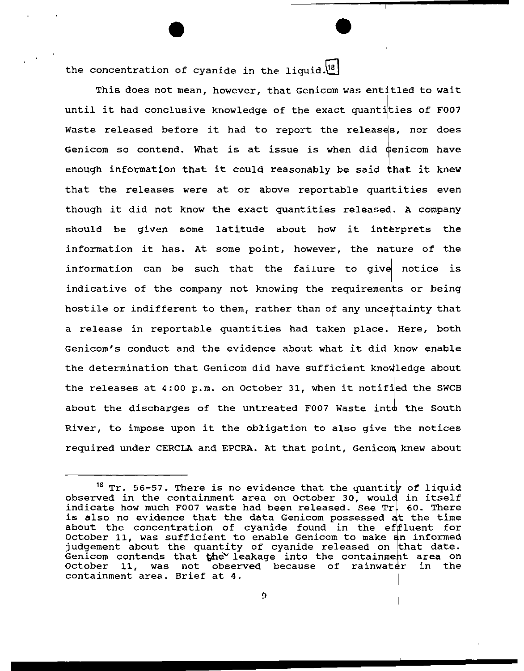the concentration of cyanide in the liquid. $[18]$ 

This does not mean, however, that Genicom was entitled to wait until it had conclusive knowledge of the exact quantikies of F007 Waste released before it had to report the releases, nor does Genicom so contend. What is at issue is when did Genicom have enough information that it could reasonably be said that it knew that the releases were at or above reportable quantities even though it did not know the exact quantities released. A company should be given some latitude about how it interprets the information it has. At some point, however, the nature of the information can be such that the failure to give notice is indicative of the company not knowing the requirements or being hostile or indifferent to them, rather than of any uncertainty that a release in reportable quantities had taken place. Genicom's conduct and the evidence about what it did know enable the determination that Genicom did have sufficient knowledge about the releases at  $4:00$  p.m. on October 31, when it notified the SWCB about the discharges of the untreated F007 Waste into the South River, to impose upon it the obligation to also give the notices required under CERCLA and EPCRA. At that point, Genicom knew about

 $18$  Tr. 56-57. There is no evidence that the quantity of liquid observed in the containment area on October 30, would in itself indicate how much F007 waste had been released. See  $Tr.$  60. There is also no evidence that the data Genicom possessed at the time about the concentration of cyanide found in the effluent for October 11, was sufficient to enable Genicom to make an informed judgement about the quantity of cyanide released on that date. Genicom contends that  $\mathbf{th}e^{\vee}$  leakage into the containment area on October 11, was not observed because of rainwater in the containment area. Brief at 4.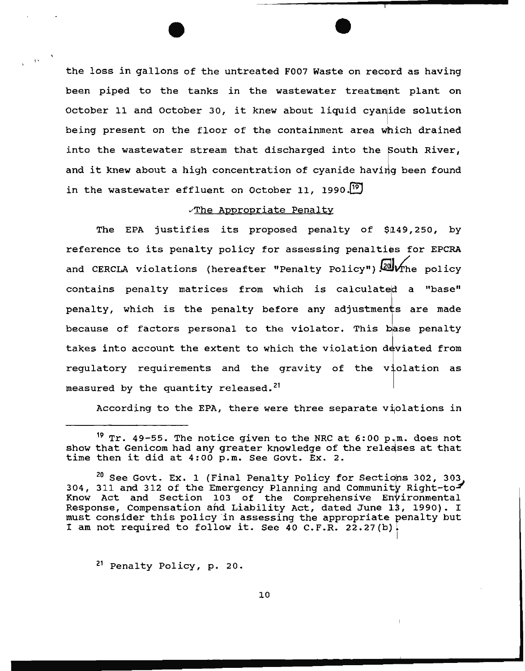the loss in gallons of the untreated F007 Waste on record as having been piped to the tanks in the wastewater treatment plant on October 11 and October 30, it knew about liquid cyanide solution being present on the floor of the containment area which drained into the wastewater stream that discharged into the South River, and it knew about a high concentration of cyanide having been found in the wastewater effluent on October 11, 1990. $^{19}$ 

### vThe Appropriate Penalty

The EPA justifies its proposed penalty of \$149,250, by reference to its penalty policy for assessing penalties for EPCRA and CERCLA violations (hereafter "Penalty Policy")  $24$   $\sqrt{r}$  he policy contains penalty matrices from which is calculated a "base" penalty, which is the penalty before any adjustments are made because of factors personal to the violator. This base penalty takes into account the extent to which the violation deviated from regulatory requirements and the gravity of the violation as measured by the quantity released.<sup>21</sup>

According to the EPA, there were three separate violations in

<sup>21</sup> Penalty Policy, p. 20.

 $, \,$ ,

<sup>&</sup>lt;sup>19</sup> Tr. 49-55. The notice given to the NRC at  $6:00$  p.m. does not show that Genicom had any greater knowledge of the releases at that time then it did at 4:00 p.m. See Govt. Ex. 2.

 $^{20}$  See Govt. Ex. 1 (Final Penalty Policy for Sections 302, 303, 304, 311 and 312 of the Emergency Planning and Community Right-to-Know Act and Section 103 of the Comprehensive Environmental Response, Compensation and Liability Act, dated June 13, 1990). I must consider this policy 'in assessing the appropriate penalty but I am not required to follow it. See 40 C.F.R. 22.27(b) <sup>I</sup>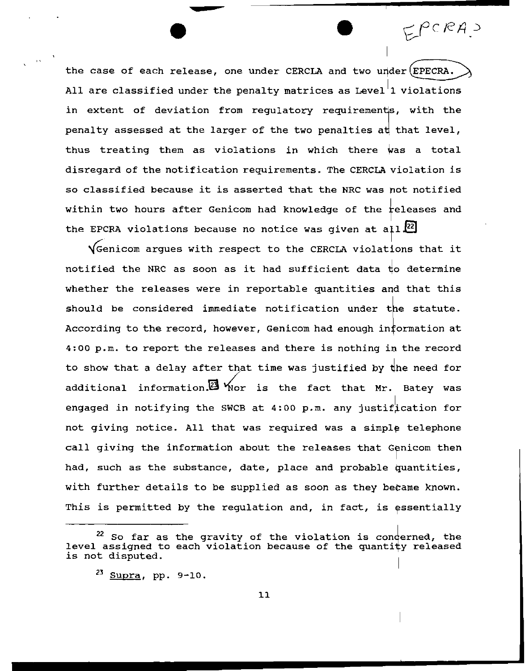the case of each release, one under CERCLA and two under  $(EPECTRA.$ All are classified under the penalty matrices as Level<sup>'</sup>1 violations in extent of deviation from regulatory requirements, with the penalty assessed at the larger of the two penalties at that level, thus treating them as violations in which there was a total disregard of the notification requirements. The CERCLA iolation *is*  so classified because it is asserted that the NRC was not notified within two hours after Genicom had knowledge of the releases and the EPCRA violations because no notice was given at all $^{[22]}$ 

 $EPCRA$ 

 $\sqrt{2}$  Genicom argues with respect to the CERCLA violations that it notified the NRC as soon as it had sufficient data to determine whether the releases were in reportable quantities and that this should be considered immediate notification under the statute. According to the record, however, Genicom had enough information at  $4:00$  p.m. to report the releases and there is nothing in the record to show that a delay after that time was justified by the need for additional information.  $\boxtimes$  Yor is the fact that Mr. Batey was engaged in notifying the SWCB at  $4:00$  p.m. any justification for not giving notice. All that was required was a simple telephone call giving the information about the releases that Genicom then had, such as the substance, date, place and probable quantities, with further details to be supplied as soon as they became known. This is permitted by the regulation and, in fact, is essentially

 $22$  So far as the gravity of the violation is conderned, the level assigned to each violation because of the quantity released is not disputed.

 $23$  Supra, pp. 9-10.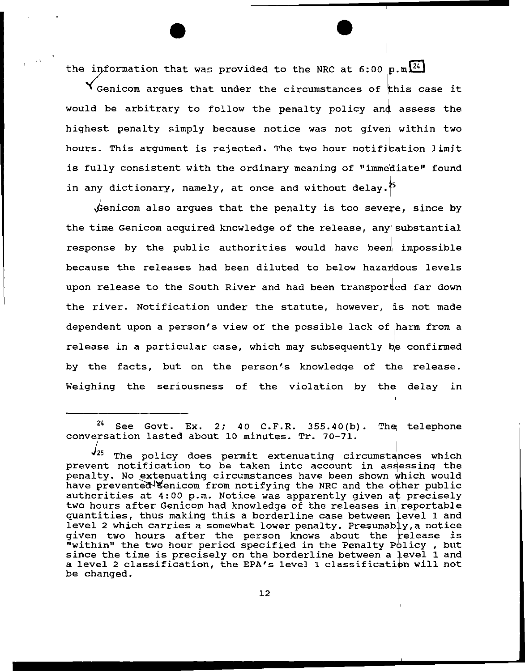the information that was provided to the NRC at 6:00 p.m  $24$ 

,,

**Y** Genicom arques that under the circumstances of this case it would be arbitrary to follow the penalty policy and assess the highest penalty simply because notice was not given within two hours. This argument is rejected. The two hour notification limit is fully consistent with the ordinary meaning of "immediate" found in any dictionary, namely, at once and without delay. $^{\frac{1}{2^5}}$ 

 $\rlap{/}{\rm{genicom}}$  also argues that the penalty is too severe, since by the time Genicom acquired knowledge of the release, any substantial response by the public authorities would have been impossible because the releases had been diluted to below hazardous levels upon release to the South River and had been transported far down the river. Notification under the statute, however, is not made dependent upon a person's view of the possible lack of harm from a release in a particular case, which may subsequently be confirmed by the facts, but on the person's knowledge of the release. Weighing the seriousness of the violation by the delay in

 $24$  See Govt. Ex. 2; 40 C.F.R. 355.40(b). The telephone conversation lasted about 10 minutes. Tr. 70-71.

 $425$  The policy does permit extenuating circumstances which prevent notification to be taken into account in assessing the penalty. No extenuating circumstances have been shown which would have prevented Eenicom from notifying the NRC and the other public authorities at 4:00 p.m. Notice was apparently given at precisely two hours after Genicom had knowledge of the releases in reportable quantities, thus making this a borderline case between level 1 and level 2 which carries a somewhat lower penalty. Presumably, a notice given two hours after the person knows about the release is given two hours areer the person knows about the rerease is<br>"within" the two hour period specified in the Penalty Policy, but within the two hour period specified in the renaity rolly, but<br>since the time is precisely on the borderline between a level 1 and a level 2 classification, the EPA's level 1 classification will not be changed.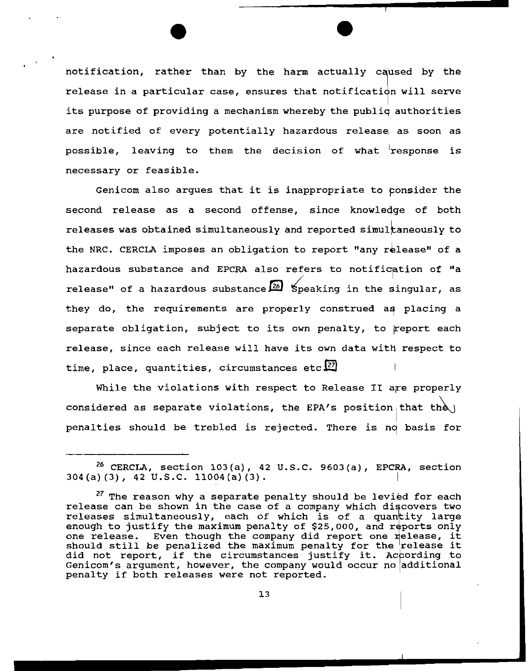notification, rather than by the harm actually caused by the release in a particular case, ensures that notification will serve its purpose of providing a mechanism whereby the publiq authorities are notified of every potentially hazardous release as soon as possible, leaving to them the decision of what response is necessary or feasible.

Genicom also arques that it is inappropriate to consider the second release as a second offense, since knowledge of both releases was obtained simultaneously and reported simultaneously to the NRC. CERCLA imposes an obligation to report "any release" of a hazardous substance and EPCRA also refers to notification of "a release" of a hazardous substance  $\boxed{26}$  Speaking in the singular, as they do, the requirements are properly construed as placing a separate obligation, subject to its own penalty, to report each release, since each release will have its own data with respect to time, place, quantities, circumstances etc<sup>27</sup>

While the violations with respect to Release II are properly considered as separate violations, the EPA's position that the penalties should be trebled is rejected. There is no basis for

 $26$  CERCLA, section 103(a), 42 U.S.C. 9603(a), EPCRA, section  $304(a)(3)$ , 42 U.S.C. 11004(a)(3).

 $27$  The reason why a separate penalty should be levied for each release can be shown in the case of a company which discovers two releases simultaneously, each of which is of a quantity large enough to justify the maximum penalty of  $$25,000$ , and reports only one release. Even though the company did report one release, it one release. Even though the company did report one release, it<br>should still be penalized the maximum penalty for the release it did not report, if the circumstances justify it. According to Genicom's argument, however, the company would occur no additional penalty if both releases were not reported.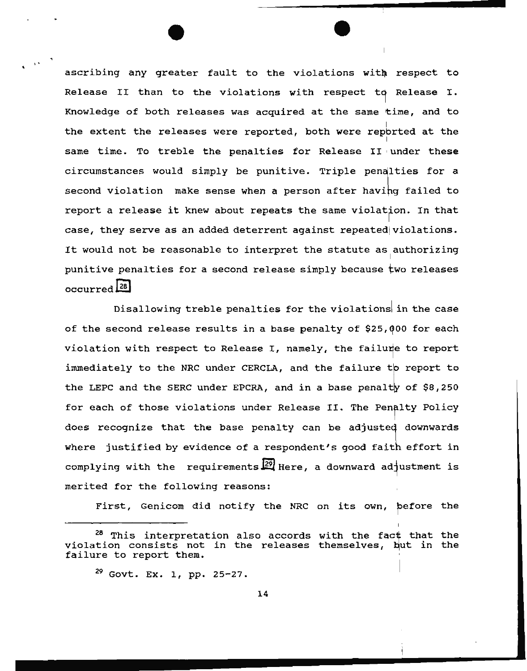ascribing any greater fault to the violations with respect to Release II than to the violations with respect to Release I. Knowledge of both releases was acquired at the same time, and to the extent the releases were reported, both were reported at the same time. To treble the penalties for Release II under these circumstances would simply be punitive. Triple penalties for a second violation make sense when a person after having failed to report a release it knew about repeats the same violation. In that case, they serve as an added deterrent against repeated violations. It would not be reasonable to interpret the statute as authorizing punitive penalties for a second release simply because two releases  $occurred$  $28$ 

Disallowing treble penalties for the violations in the case of the second release results in a base penalty of \$25,000 for each violation with respect to Release I, namely, the failure to report immediately to the NRC under CERCLA, and the failure to report to the LEPC and the SERC under EPCRA, and in a base penalty of  $$8,250$ for each of those violations under Release II. The Penalty Policy does recognize that the base penalty can be adjusted downwards where justified by evidence of a respondent's good faith effort in complying with the requirements  $\frac{1}{2}$  Here, a downward ad ustment is merited for the following reasons:

First, Genicom did notify the NRC on its own, before the

I •

<sup>&</sup>lt;sup>28</sup> This interpretation also accords with the fact that the violation consists not in the releases themselves, but in the failure to report them.

 $29$  Govt. Ex. 1, pp. 25-27.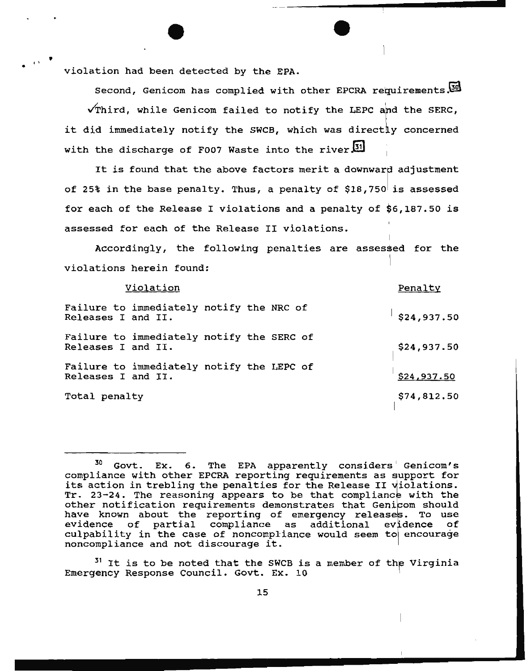• violation had been detected by the EPA.

is.

Second, Genicom has complied with other EPCRA requirements.  $\sqrt{\texttt{Third}}$ , while Genicom failed to notify the LEPC and the SERC, it did immediately notify the SWCB, which was directly concerned with the discharge of F007 Waste into the river  $51$ 

It is found that the above factors merit a downward adjustment of 25% in the base penalty. Thus, a penalty of  $$18,750$  is assessed for each of the Release I violations and a penalty of \$6,187.50 is assessed for each of the Release II violations.

Accordingly, the following penalties are assessed for the violations herein found:

| Violation                                                       | Penalty     |
|-----------------------------------------------------------------|-------------|
| Failure to immediately notify the NRC of<br>Releases I and II.  | \$24,937.50 |
| Failure to immediately notify the SERC of<br>Releases I and II. | \$24,937.50 |
| Failure to immediately notify the LEPC of<br>Releases I and II. | \$24,937.50 |
| Total penalty                                                   | \$74,812.50 |

 $31$  It is to be noted that the SWCB is a member of the Virginia Emergency Response Council. Govt. Ex. 10

 $30$  Govt. Ex. 6. The EPA apparently considers Genicom's compliance with other EPCRA reporting requirements as upport for its action in trebling the penalties for the Release II violations.<br>Tr. 23-24. The reasoning appears to be that compliance with the other notification requirements demonstrates that Genicom should ounce hourinoution requiremence uchonstruces that centous should nave known about the reporting or emergency refeases: 15 asc<br>evidence of partial compliance as additional evidence of evidence of partial compliance as additional evidence of<br>culpability in the case of noncompliance would seem to encourage noncompliance and not discourage it.